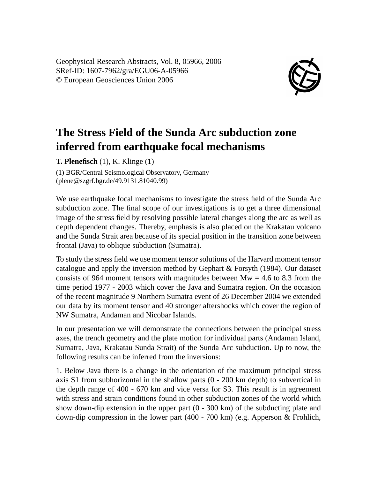Geophysical Research Abstracts, Vol. 8, 05966, 2006 SRef-ID: 1607-7962/gra/EGU06-A-05966 © European Geosciences Union 2006



## **The Stress Field of the Sunda Arc subduction zone inferred from earthquake focal mechanisms**

**T. Plenefisch** (1), K. Klinge (1)

(1) BGR/Central Seismological Observatory, Germany (plene@szgrf.bgr.de/49.9131.81040.99)

We use earthquake focal mechanisms to investigate the stress field of the Sunda Arc subduction zone. The final scope of our investigations is to get a three dimensional image of the stress field by resolving possible lateral changes along the arc as well as depth dependent changes. Thereby, emphasis is also placed on the Krakatau volcano and the Sunda Strait area because of its special position in the transition zone between frontal (Java) to oblique subduction (Sumatra).

To study the stress field we use moment tensor solutions of the Harvard moment tensor catalogue and apply the inversion method by Gephart & Forsyth (1984). Our dataset consists of 964 moment tensors with magnitudes between  $Mw = 4.6$  to 8.3 from the time period 1977 - 2003 which cover the Java and Sumatra region. On the occasion of the recent magnitude 9 Northern Sumatra event of 26 December 2004 we extended our data by its moment tensor and 40 stronger aftershocks which cover the region of NW Sumatra, Andaman and Nicobar Islands.

In our presentation we will demonstrate the connections between the principal stress axes, the trench geometry and the plate motion for individual parts (Andaman Island, Sumatra, Java, Krakatau Sunda Strait) of the Sunda Arc subduction. Up to now, the following results can be inferred from the inversions:

1. Below Java there is a change in the orientation of the maximum principal stress axis S1 from subhorizontal in the shallow parts  $(0 - 200 \text{ km depth})$  to subvertical in the depth range of 400 - 670 km and vice versa for S3. This result is in agreement with stress and strain conditions found in other subduction zones of the world which show down-dip extension in the upper part  $(0 - 300 \text{ km})$  of the subducting plate and down-dip compression in the lower part (400 - 700 km) (e.g. Apperson & Frohlich,